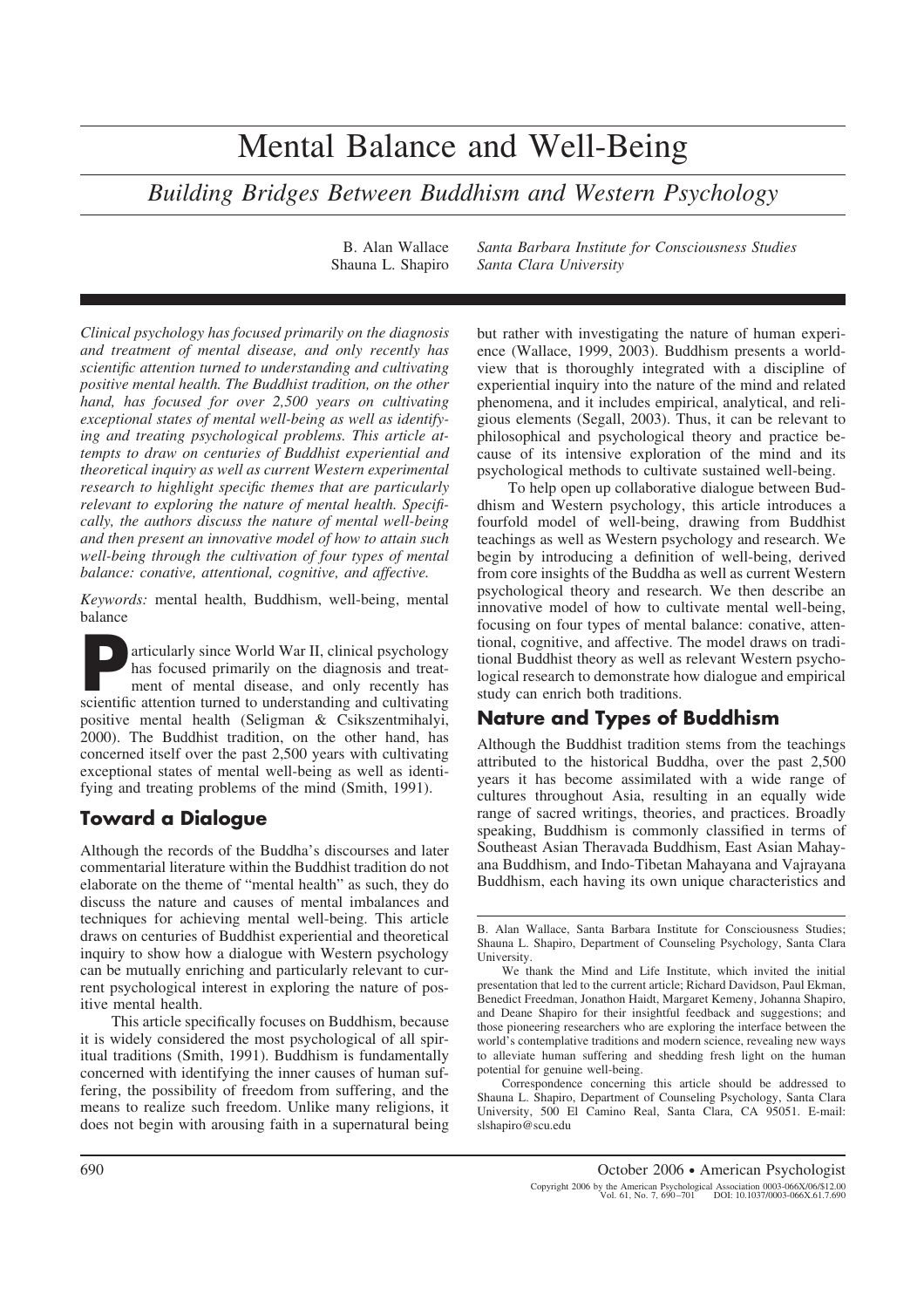# Mental Balance and Well-Being

*Building Bridges Between Buddhism and Western Psychology*

B. Alan Wallace *Santa Barbara Institute for Consciousness Studies* Shauna L. Shapiro *Santa Clara University*

*Clinical psychology has focused primarily on the diagnosis and treatment of mental disease, and only recently has scientific attention turned to understanding and cultivating positive mental health. The Buddhist tradition, on the other hand, has focused for over 2,500 years on cultivating exceptional states of mental well-being as well as identifying and treating psychological problems. This article attempts to draw on centuries of Buddhist experiential and theoretical inquiry as well as current Western experimental research to highlight specific themes that are particularly relevant to exploring the nature of mental health. Specifically, the authors discuss the nature of mental well-being and then present an innovative model of how to attain such well-being through the cultivation of four types of mental balance: conative, attentional, cognitive, and affective.*

*Keywords:* mental health, Buddhism, well-being, mental balance

articularly since World War II, clinical psychology<br>has focused primarily on the diagnosis and treat-<br>ment of mental disease, and only recently has<br>scientific attention turned to understanding and cultivating has focused primarily on the diagnosis and treatment of mental disease, and only recently has scientific attention turned to understanding and cultivating positive mental health (Seligman & Csikszentmihalyi, 2000). The Buddhist tradition, on the other hand, has concerned itself over the past 2,500 years with cultivating exceptional states of mental well-being as well as identifying and treating problems of the mind (Smith, 1991).

# **Toward a Dialogue**

Although the records of the Buddha's discourses and later commentarial literature within the Buddhist tradition do not elaborate on the theme of "mental health" as such, they do discuss the nature and causes of mental imbalances and techniques for achieving mental well-being. This article draws on centuries of Buddhist experiential and theoretical inquiry to show how a dialogue with Western psychology can be mutually enriching and particularly relevant to current psychological interest in exploring the nature of positive mental health.

This article specifically focuses on Buddhism, because it is widely considered the most psychological of all spiritual traditions (Smith, 1991). Buddhism is fundamentally concerned with identifying the inner causes of human suffering, the possibility of freedom from suffering, and the means to realize such freedom. Unlike many religions, it does not begin with arousing faith in a supernatural being but rather with investigating the nature of human experience (Wallace, 1999, 2003). Buddhism presents a worldview that is thoroughly integrated with a discipline of experiential inquiry into the nature of the mind and related phenomena, and it includes empirical, analytical, and religious elements (Segall, 2003). Thus, it can be relevant to philosophical and psychological theory and practice because of its intensive exploration of the mind and its psychological methods to cultivate sustained well-being.

To help open up collaborative dialogue between Buddhism and Western psychology, this article introduces a fourfold model of well-being, drawing from Buddhist teachings as well as Western psychology and research. We begin by introducing a definition of well-being, derived from core insights of the Buddha as well as current Western psychological theory and research. We then describe an innovative model of how to cultivate mental well-being, focusing on four types of mental balance: conative, attentional, cognitive, and affective. The model draws on traditional Buddhist theory as well as relevant Western psychological research to demonstrate how dialogue and empirical study can enrich both traditions.

# **Nature and Types of Buddhism**

Although the Buddhist tradition stems from the teachings attributed to the historical Buddha, over the past 2,500 years it has become assimilated with a wide range of cultures throughout Asia, resulting in an equally wide range of sacred writings, theories, and practices. Broadly speaking, Buddhism is commonly classified in terms of Southeast Asian Theravada Buddhism, East Asian Mahayana Buddhism, and Indo-Tibetan Mahayana and Vajrayana Buddhism, each having its own unique characteristics and

B. Alan Wallace, Santa Barbara Institute for Consciousness Studies; Shauna L. Shapiro, Department of Counseling Psychology, Santa Clara University.

We thank the Mind and Life Institute, which invited the initial presentation that led to the current article; Richard Davidson, Paul Ekman, Benedict Freedman, Jonathon Haidt, Margaret Kemeny, Johanna Shapiro, and Deane Shapiro for their insightful feedback and suggestions; and those pioneering researchers who are exploring the interface between the world's contemplative traditions and modern science, revealing new ways to alleviate human suffering and shedding fresh light on the human potential for genuine well-being.

Correspondence concerning this article should be addressed to Shauna L. Shapiro, Department of Counseling Psychology, Santa Clara University, 500 El Camino Real, Santa Clara, CA 95051. E-mail: slshapiro@scu.edu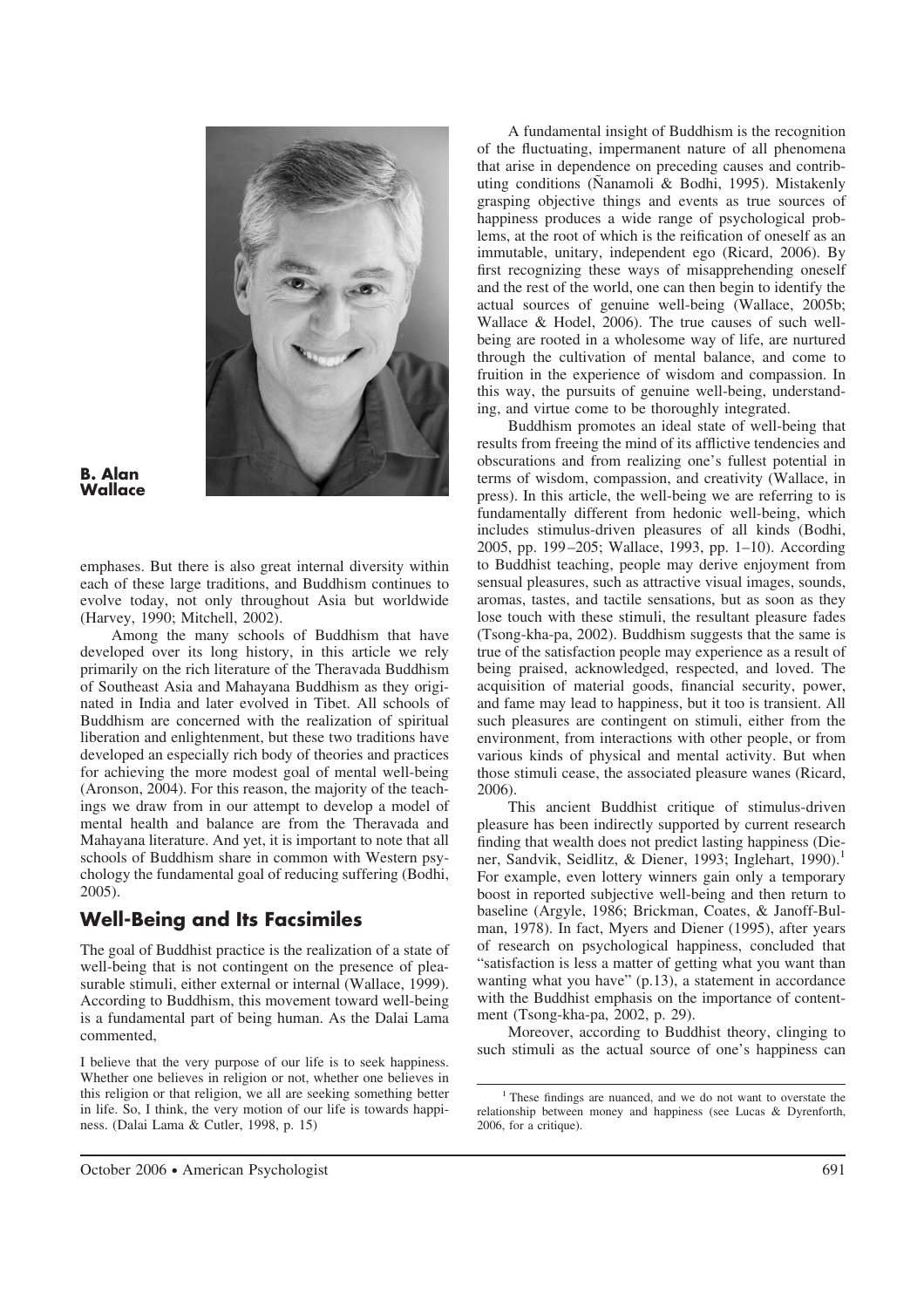

**B. Alan Wallace**

emphases. But there is also great internal diversity within each of these large traditions, and Buddhism continues to evolve today, not only throughout Asia but worldwide (Harvey, 1990; Mitchell, 2002).

Among the many schools of Buddhism that have developed over its long history, in this article we rely primarily on the rich literature of the Theravada Buddhism of Southeast Asia and Mahayana Buddhism as they originated in India and later evolved in Tibet. All schools of Buddhism are concerned with the realization of spiritual liberation and enlightenment, but these two traditions have developed an especially rich body of theories and practices for achieving the more modest goal of mental well-being (Aronson, 2004). For this reason, the majority of the teachings we draw from in our attempt to develop a model of mental health and balance are from the Theravada and Mahayana literature. And yet, it is important to note that all schools of Buddhism share in common with Western psychology the fundamental goal of reducing suffering (Bodhi, 2005).

# **Well-Being and Its Facsimiles**

The goal of Buddhist practice is the realization of a state of well-being that is not contingent on the presence of pleasurable stimuli, either external or internal (Wallace, 1999). According to Buddhism, this movement toward well-being is a fundamental part of being human. As the Dalai Lama commented,

I believe that the very purpose of our life is to seek happiness. Whether one believes in religion or not, whether one believes in this religion or that religion, we all are seeking something better in life. So, I think, the very motion of our life is towards happiness. (Dalai Lama & Cutler, 1998, p. 15)

A fundamental insight of Buddhism is the recognition of the fluctuating, impermanent nature of all phenomena that arise in dependence on preceding causes and contributing conditions (Ñanamoli & Bodhi, 1995). Mistakenly grasping objective things and events as true sources of happiness produces a wide range of psychological problems, at the root of which is the reification of oneself as an immutable, unitary, independent ego (Ricard, 2006). By first recognizing these ways of misapprehending oneself and the rest of the world, one can then begin to identify the actual sources of genuine well-being (Wallace, 2005b; Wallace & Hodel, 2006). The true causes of such wellbeing are rooted in a wholesome way of life, are nurtured through the cultivation of mental balance, and come to fruition in the experience of wisdom and compassion. In this way, the pursuits of genuine well-being, understanding, and virtue come to be thoroughly integrated.

Buddhism promotes an ideal state of well-being that results from freeing the mind of its afflictive tendencies and obscurations and from realizing one's fullest potential in terms of wisdom, compassion, and creativity (Wallace, in press). In this article, the well-being we are referring to is fundamentally different from hedonic well-being, which includes stimulus-driven pleasures of all kinds (Bodhi, 2005, pp. 199 –205; Wallace, 1993, pp. 1–10). According to Buddhist teaching, people may derive enjoyment from sensual pleasures, such as attractive visual images, sounds, aromas, tastes, and tactile sensations, but as soon as they lose touch with these stimuli, the resultant pleasure fades (Tsong-kha-pa, 2002). Buddhism suggests that the same is true of the satisfaction people may experience as a result of being praised, acknowledged, respected, and loved. The acquisition of material goods, financial security, power, and fame may lead to happiness, but it too is transient. All such pleasures are contingent on stimuli, either from the environment, from interactions with other people, or from various kinds of physical and mental activity. But when those stimuli cease, the associated pleasure wanes (Ricard, 2006).

This ancient Buddhist critique of stimulus-driven pleasure has been indirectly supported by current research finding that wealth does not predict lasting happiness (Diener, Sandvik, Seidlitz, & Diener, 1993; Inglehart, 1990).<sup>1</sup> For example, even lottery winners gain only a temporary boost in reported subjective well-being and then return to baseline (Argyle, 1986; Brickman, Coates, & Janoff-Bulman, 1978). In fact, Myers and Diener (1995), after years of research on psychological happiness, concluded that "satisfaction is less a matter of getting what you want than wanting what you have" (p.13), a statement in accordance with the Buddhist emphasis on the importance of contentment (Tsong-kha-pa, 2002, p. 29).

Moreover, according to Buddhist theory, clinging to such stimuli as the actual source of one's happiness can

October 2006 ● American Psychologist 691

<sup>1</sup> These findings are nuanced, and we do not want to overstate the relationship between money and happiness (see Lucas & Dyrenforth, 2006, for a critique).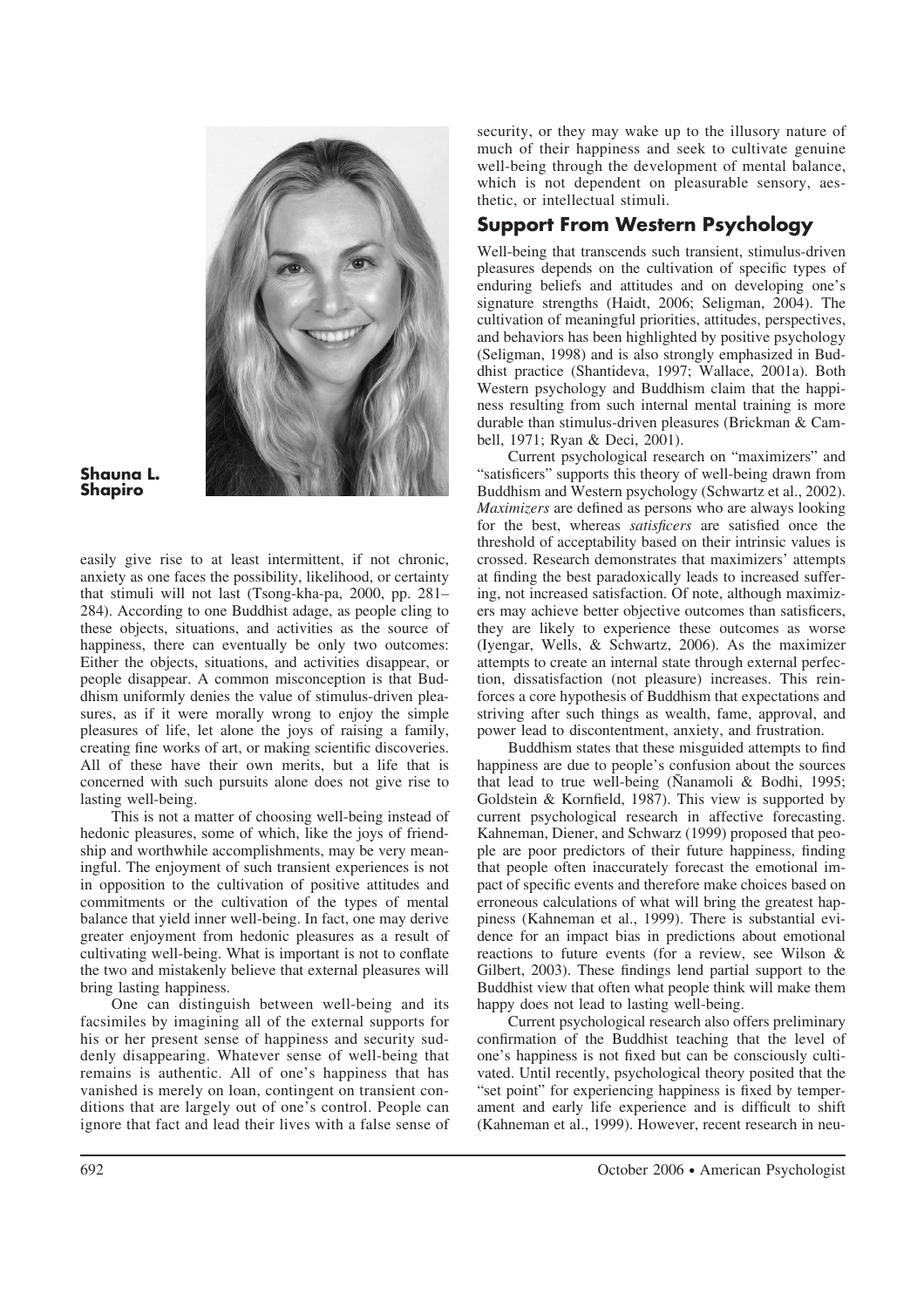

#### **Shauna L. Shapiro**

easily give rise to at least intermittent, if not chronic, anxiety as one faces the possibility, likelihood, or certainty that stimuli will not last (Tsong-kha-pa, 2000, pp. 281– 284). According to one Buddhist adage, as people cling to these objects, situations, and activities as the source of happiness, there can eventually be only two outcomes: Either the objects, situations, and activities disappear, or people disappear. A common misconception is that Buddhism uniformly denies the value of stimulus-driven pleasures, as if it were morally wrong to enjoy the simple pleasures of life, let alone the joys of raising a family, creating fine works of art, or making scientific discoveries. All of these have their own merits, but a life that is concerned with such pursuits alone does not give rise to lasting well-being.

This is not a matter of choosing well-being instead of hedonic pleasures, some of which, like the joys of friendship and worthwhile accomplishments, may be very meaningful. The enjoyment of such transient experiences is not in opposition to the cultivation of positive attitudes and commitments or the cultivation of the types of mental balance that yield inner well-being. In fact, one may derive greater enjoyment from hedonic pleasures as a result of cultivating well-being. What is important is not to conflate the two and mistakenly believe that external pleasures will bring lasting happiness.

One can distinguish between well-being and its facsimiles by imagining all of the external supports for his or her present sense of happiness and security suddenly disappearing. Whatever sense of well-being that remains is authentic. All of one's happiness that has vanished is merely on loan, contingent on transient conditions that are largely out of one's control. People can ignore that fact and lead their lives with a false sense of security, or they may wake up to the illusory nature of much of their happiness and seek to cultivate genuine well-being through the development of mental balance, which is not dependent on pleasurable sensory, aesthetic, or intellectual stimuli.

# **Support From Western Psychology**

Well-being that transcends such transient, stimulus-driven pleasures depends on the cultivation of specific types of enduring beliefs and attitudes and on developing one's signature strengths (Haidt, 2006; Seligman, 2004). The cultivation of meaningful priorities, attitudes, perspectives, and behaviors has been highlighted by positive psychology (Seligman, 1998) and is also strongly emphasized in Buddhist practice (Shantideva, 1997; Wallace, 2001a). Both Western psychology and Buddhism claim that the happiness resulting from such internal mental training is more durable than stimulus-driven pleasures (Brickman & Cambell, 1971; Ryan & Deci, 2001).

Current psychological research on "maximizers" and "satisficers" supports this theory of well-being drawn from Buddhism and Western psychology (Schwartz et al., 2002). *Maximizers* are defined as persons who are always looking for the best, whereas *satisficers* are satisfied once the threshold of acceptability based on their intrinsic values is crossed. Research demonstrates that maximizers' attempts at finding the best paradoxically leads to increased suffering, not increased satisfaction. Of note, although maximizers may achieve better objective outcomes than satisficers, they are likely to experience these outcomes as worse (Iyengar, Wells, & Schwartz, 2006). As the maximizer attempts to create an internal state through external perfection, dissatisfaction (not pleasure) increases. This reinforces a core hypothesis of Buddhism that expectations and striving after such things as wealth, fame, approval, and power lead to discontentment, anxiety, and frustration.

Buddhism states that these misguided attempts to find happiness are due to people's confusion about the sources that lead to true well-being (Nanamoli & Bodhi, 1995; Goldstein & Kornfield, 1987). This view is supported by current psychological research in affective forecasting. Kahneman, Diener, and Schwarz (1999) proposed that people are poor predictors of their future happiness, finding that people often inaccurately forecast the emotional impact of specific events and therefore make choices based on erroneous calculations of what will bring the greatest happiness (Kahneman et al., 1999). There is substantial evidence for an impact bias in predictions about emotional reactions to future events (for a review, see Wilson & Gilbert, 2003). These findings lend partial support to the Buddhist view that often what people think will make them happy does not lead to lasting well-being.

Current psychological research also offers preliminary confirmation of the Buddhist teaching that the level of one's happiness is not fixed but can be consciously cultivated. Until recently, psychological theory posited that the "set point" for experiencing happiness is fixed by temperament and early life experience and is difficult to shift (Kahneman et al., 1999). However, recent research in neu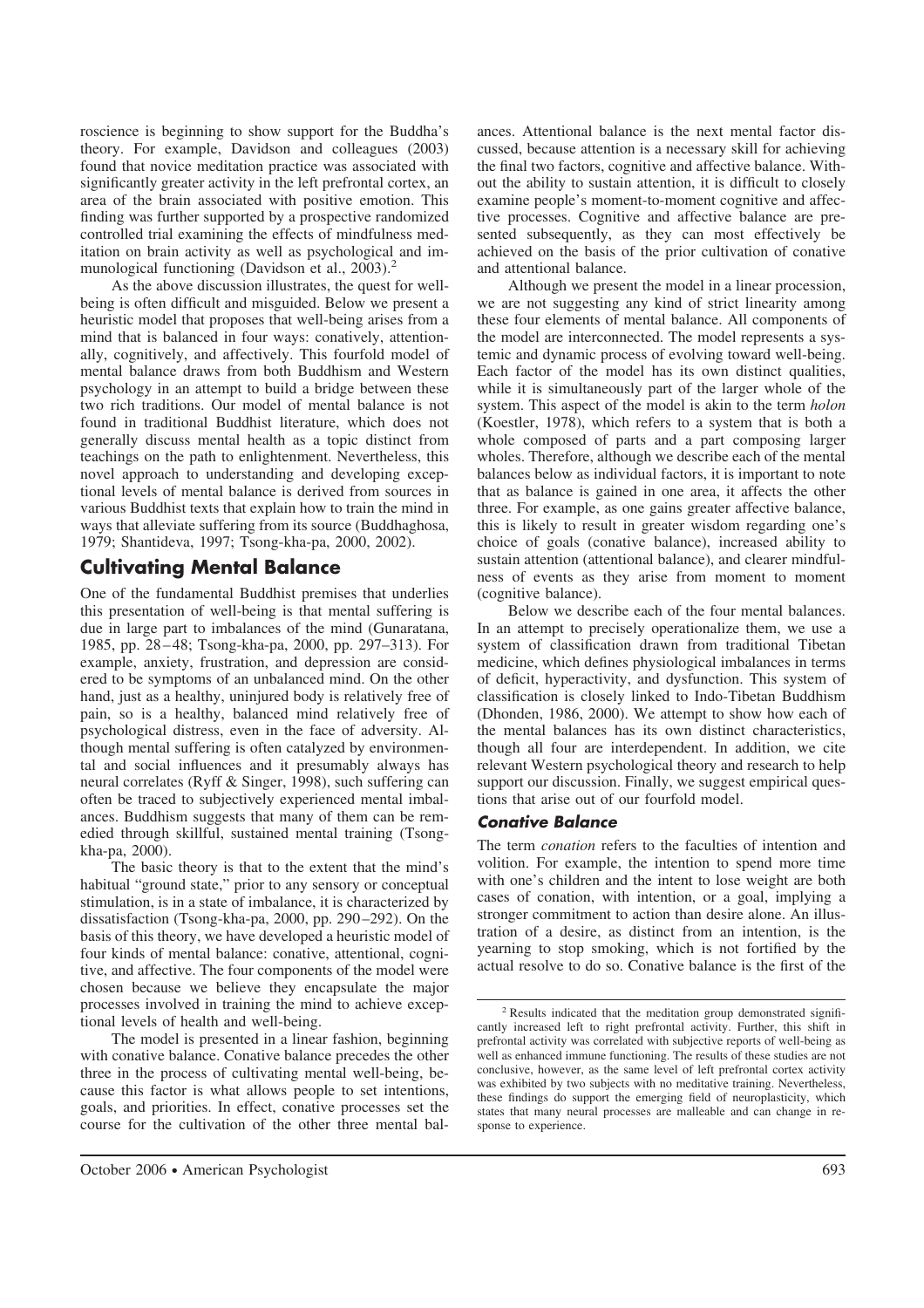roscience is beginning to show support for the Buddha's theory. For example, Davidson and colleagues (2003) found that novice meditation practice was associated with significantly greater activity in the left prefrontal cortex, an area of the brain associated with positive emotion. This finding was further supported by a prospective randomized controlled trial examining the effects of mindfulness meditation on brain activity as well as psychological and immunological functioning (Davidson et al., 2003).<sup>2</sup>

As the above discussion illustrates, the quest for wellbeing is often difficult and misguided. Below we present a heuristic model that proposes that well-being arises from a mind that is balanced in four ways: conatively, attentionally, cognitively, and affectively. This fourfold model of mental balance draws from both Buddhism and Western psychology in an attempt to build a bridge between these two rich traditions. Our model of mental balance is not found in traditional Buddhist literature, which does not generally discuss mental health as a topic distinct from teachings on the path to enlightenment. Nevertheless, this novel approach to understanding and developing exceptional levels of mental balance is derived from sources in various Buddhist texts that explain how to train the mind in ways that alleviate suffering from its source (Buddhaghosa, 1979; Shantideva, 1997; Tsong-kha-pa, 2000, 2002).

## **Cultivating Mental Balance**

One of the fundamental Buddhist premises that underlies this presentation of well-being is that mental suffering is due in large part to imbalances of the mind (Gunaratana, 1985, pp. 28 – 48; Tsong-kha-pa, 2000, pp. 297–313). For example, anxiety, frustration, and depression are considered to be symptoms of an unbalanced mind. On the other hand, just as a healthy, uninjured body is relatively free of pain, so is a healthy, balanced mind relatively free of psychological distress, even in the face of adversity. Although mental suffering is often catalyzed by environmental and social influences and it presumably always has neural correlates (Ryff & Singer, 1998), such suffering can often be traced to subjectively experienced mental imbalances. Buddhism suggests that many of them can be remedied through skillful, sustained mental training (Tsongkha-pa, 2000).

The basic theory is that to the extent that the mind's habitual "ground state," prior to any sensory or conceptual stimulation, is in a state of imbalance, it is characterized by dissatisfaction (Tsong-kha-pa, 2000, pp. 290 –292). On the basis of this theory, we have developed a heuristic model of four kinds of mental balance: conative, attentional, cognitive, and affective. The four components of the model were chosen because we believe they encapsulate the major processes involved in training the mind to achieve exceptional levels of health and well-being.

The model is presented in a linear fashion, beginning with conative balance. Conative balance precedes the other three in the process of cultivating mental well-being, because this factor is what allows people to set intentions, goals, and priorities. In effect, conative processes set the course for the cultivation of the other three mental balances. Attentional balance is the next mental factor discussed, because attention is a necessary skill for achieving the final two factors, cognitive and affective balance. Without the ability to sustain attention, it is difficult to closely examine people's moment-to-moment cognitive and affective processes. Cognitive and affective balance are presented subsequently, as they can most effectively be achieved on the basis of the prior cultivation of conative and attentional balance.

Although we present the model in a linear procession, we are not suggesting any kind of strict linearity among these four elements of mental balance. All components of the model are interconnected. The model represents a systemic and dynamic process of evolving toward well-being. Each factor of the model has its own distinct qualities, while it is simultaneously part of the larger whole of the system. This aspect of the model is akin to the term *holon* (Koestler, 1978), which refers to a system that is both a whole composed of parts and a part composing larger wholes. Therefore, although we describe each of the mental balances below as individual factors, it is important to note that as balance is gained in one area, it affects the other three. For example, as one gains greater affective balance, this is likely to result in greater wisdom regarding one's choice of goals (conative balance), increased ability to sustain attention (attentional balance), and clearer mindfulness of events as they arise from moment to moment (cognitive balance).

Below we describe each of the four mental balances. In an attempt to precisely operationalize them, we use a system of classification drawn from traditional Tibetan medicine, which defines physiological imbalances in terms of deficit, hyperactivity, and dysfunction. This system of classification is closely linked to Indo-Tibetan Buddhism (Dhonden, 1986, 2000). We attempt to show how each of the mental balances has its own distinct characteristics, though all four are interdependent. In addition, we cite relevant Western psychological theory and research to help support our discussion. Finally, we suggest empirical questions that arise out of our fourfold model.

#### *Conative Balance*

The term *conation* refers to the faculties of intention and volition. For example, the intention to spend more time with one's children and the intent to lose weight are both cases of conation, with intention, or a goal, implying a stronger commitment to action than desire alone. An illustration of a desire, as distinct from an intention, is the yearning to stop smoking, which is not fortified by the actual resolve to do so. Conative balance is the first of the

<sup>2</sup> Results indicated that the meditation group demonstrated significantly increased left to right prefrontal activity. Further, this shift in prefrontal activity was correlated with subjective reports of well-being as well as enhanced immune functioning. The results of these studies are not conclusive, however, as the same level of left prefrontal cortex activity was exhibited by two subjects with no meditative training. Nevertheless, these findings do support the emerging field of neuroplasticity, which states that many neural processes are malleable and can change in response to experience.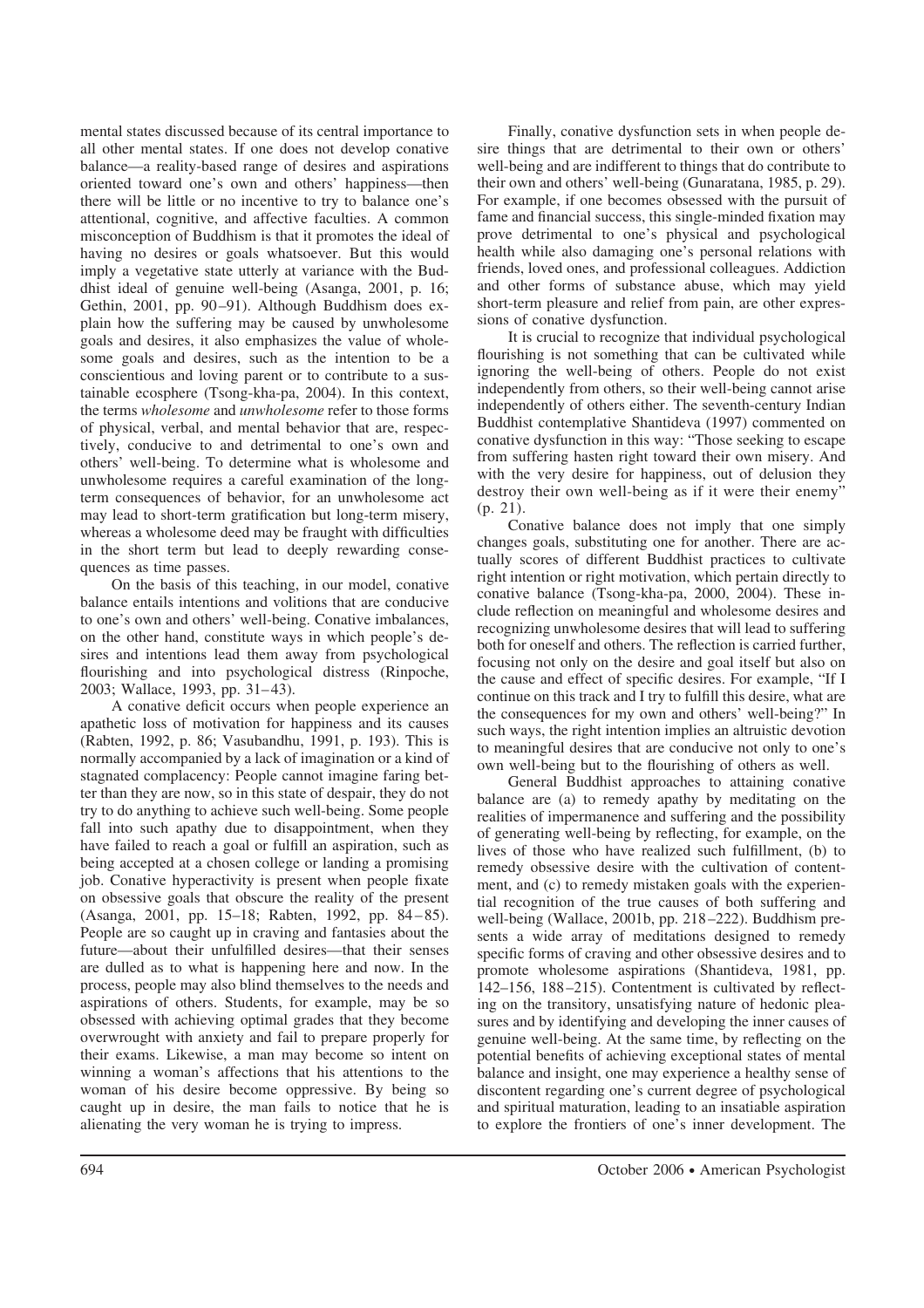mental states discussed because of its central importance to all other mental states. If one does not develop conative balance—a reality-based range of desires and aspirations oriented toward one's own and others' happiness—then there will be little or no incentive to try to balance one's attentional, cognitive, and affective faculties. A common misconception of Buddhism is that it promotes the ideal of having no desires or goals whatsoever. But this would imply a vegetative state utterly at variance with the Buddhist ideal of genuine well-being (Asanga, 2001, p. 16; Gethin, 2001, pp. 90–91). Although Buddhism does explain how the suffering may be caused by unwholesome goals and desires, it also emphasizes the value of wholesome goals and desires, such as the intention to be a conscientious and loving parent or to contribute to a sustainable ecosphere (Tsong-kha-pa, 2004). In this context, the terms *wholesome* and *unwholesome* refer to those forms of physical, verbal, and mental behavior that are, respectively, conducive to and detrimental to one's own and others' well-being. To determine what is wholesome and unwholesome requires a careful examination of the longterm consequences of behavior, for an unwholesome act may lead to short-term gratification but long-term misery, whereas a wholesome deed may be fraught with difficulties in the short term but lead to deeply rewarding consequences as time passes.

On the basis of this teaching, in our model, conative balance entails intentions and volitions that are conducive to one's own and others' well-being. Conative imbalances, on the other hand, constitute ways in which people's desires and intentions lead them away from psychological flourishing and into psychological distress (Rinpoche, 2003; Wallace, 1993, pp. 31–43).

A conative deficit occurs when people experience an apathetic loss of motivation for happiness and its causes (Rabten, 1992, p. 86; Vasubandhu, 1991, p. 193). This is normally accompanied by a lack of imagination or a kind of stagnated complacency: People cannot imagine faring better than they are now, so in this state of despair, they do not try to do anything to achieve such well-being. Some people fall into such apathy due to disappointment, when they have failed to reach a goal or fulfill an aspiration, such as being accepted at a chosen college or landing a promising job. Conative hyperactivity is present when people fixate on obsessive goals that obscure the reality of the present (Asanga, 2001, pp. 15–18; Rabten, 1992, pp. 84 – 85). People are so caught up in craving and fantasies about the future—about their unfulfilled desires—that their senses are dulled as to what is happening here and now. In the process, people may also blind themselves to the needs and aspirations of others. Students, for example, may be so obsessed with achieving optimal grades that they become overwrought with anxiety and fail to prepare properly for their exams. Likewise, a man may become so intent on winning a woman's affections that his attentions to the woman of his desire become oppressive. By being so caught up in desire, the man fails to notice that he is alienating the very woman he is trying to impress.

Finally, conative dysfunction sets in when people desire things that are detrimental to their own or others' well-being and are indifferent to things that do contribute to their own and others' well-being (Gunaratana, 1985, p. 29). For example, if one becomes obsessed with the pursuit of fame and financial success, this single-minded fixation may prove detrimental to one's physical and psychological health while also damaging one's personal relations with friends, loved ones, and professional colleagues. Addiction and other forms of substance abuse, which may yield short-term pleasure and relief from pain, are other expressions of conative dysfunction.

It is crucial to recognize that individual psychological flourishing is not something that can be cultivated while ignoring the well-being of others. People do not exist independently from others, so their well-being cannot arise independently of others either. The seventh-century Indian Buddhist contemplative Shantideva (1997) commented on conative dysfunction in this way: "Those seeking to escape from suffering hasten right toward their own misery. And with the very desire for happiness, out of delusion they destroy their own well-being as if it were their enemy" (p. 21).

Conative balance does not imply that one simply changes goals, substituting one for another. There are actually scores of different Buddhist practices to cultivate right intention or right motivation, which pertain directly to conative balance (Tsong-kha-pa, 2000, 2004). These include reflection on meaningful and wholesome desires and recognizing unwholesome desires that will lead to suffering both for oneself and others. The reflection is carried further, focusing not only on the desire and goal itself but also on the cause and effect of specific desires. For example, "If I continue on this track and I try to fulfill this desire, what are the consequences for my own and others' well-being?" In such ways, the right intention implies an altruistic devotion to meaningful desires that are conducive not only to one's own well-being but to the flourishing of others as well.

General Buddhist approaches to attaining conative balance are (a) to remedy apathy by meditating on the realities of impermanence and suffering and the possibility of generating well-being by reflecting, for example, on the lives of those who have realized such fulfillment, (b) to remedy obsessive desire with the cultivation of contentment, and (c) to remedy mistaken goals with the experiential recognition of the true causes of both suffering and well-being (Wallace, 2001b, pp. 218 –222). Buddhism presents a wide array of meditations designed to remedy specific forms of craving and other obsessive desires and to promote wholesome aspirations (Shantideva, 1981, pp. 142–156, 188 –215). Contentment is cultivated by reflecting on the transitory, unsatisfying nature of hedonic pleasures and by identifying and developing the inner causes of genuine well-being. At the same time, by reflecting on the potential benefits of achieving exceptional states of mental balance and insight, one may experience a healthy sense of discontent regarding one's current degree of psychological and spiritual maturation, leading to an insatiable aspiration to explore the frontiers of one's inner development. The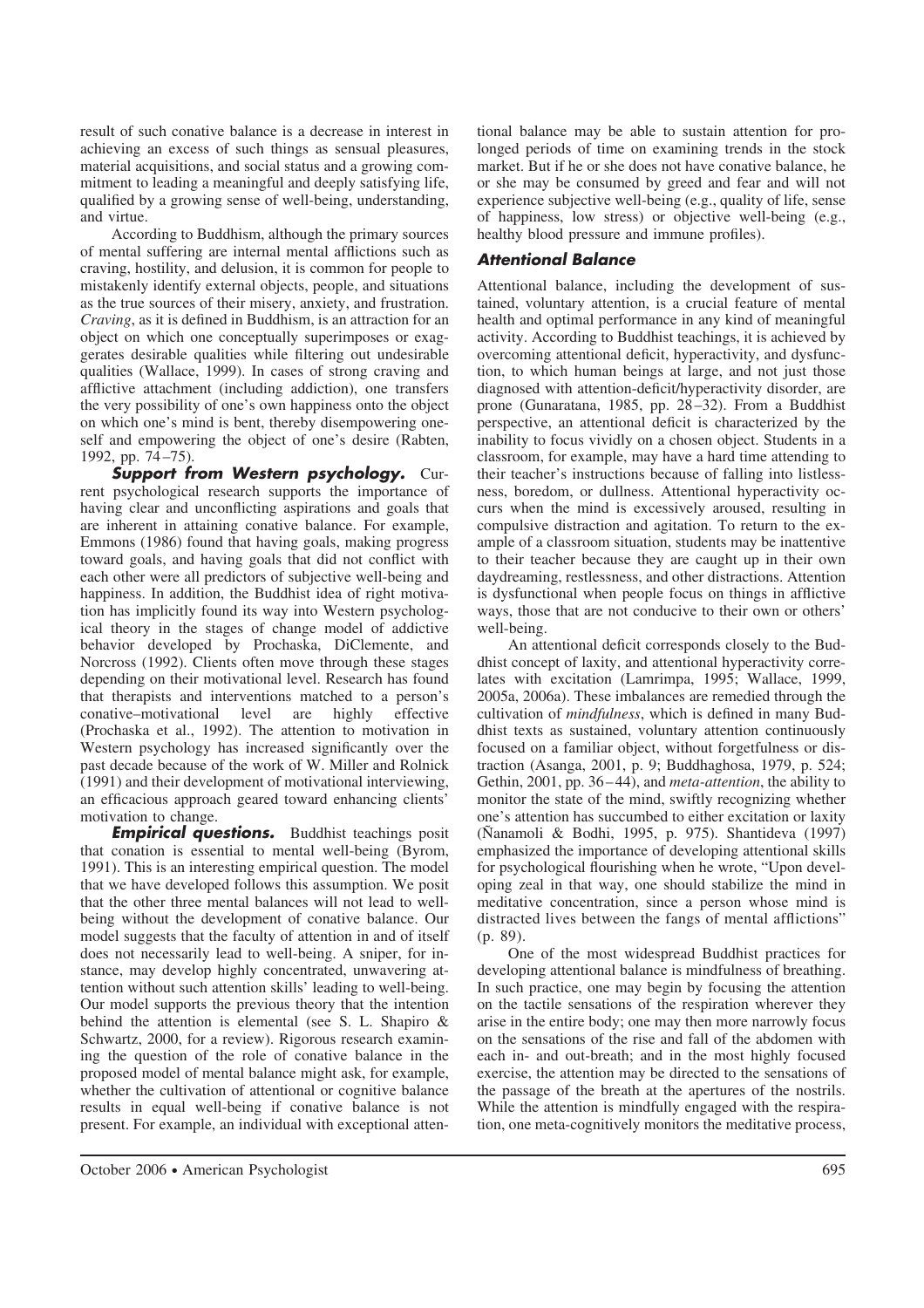result of such conative balance is a decrease in interest in achieving an excess of such things as sensual pleasures, material acquisitions, and social status and a growing commitment to leading a meaningful and deeply satisfying life, qualified by a growing sense of well-being, understanding, and virtue.

According to Buddhism, although the primary sources of mental suffering are internal mental afflictions such as craving, hostility, and delusion, it is common for people to mistakenly identify external objects, people, and situations as the true sources of their misery, anxiety, and frustration. *Craving*, as it is defined in Buddhism, is an attraction for an object on which one conceptually superimposes or exaggerates desirable qualities while filtering out undesirable qualities (Wallace, 1999). In cases of strong craving and afflictive attachment (including addiction), one transfers the very possibility of one's own happiness onto the object on which one's mind is bent, thereby disempowering oneself and empowering the object of one's desire (Rabten, 1992, pp. 74–75).

*Support from Western psychology.* Current psychological research supports the importance of having clear and unconflicting aspirations and goals that are inherent in attaining conative balance. For example, Emmons (1986) found that having goals, making progress toward goals, and having goals that did not conflict with each other were all predictors of subjective well-being and happiness. In addition, the Buddhist idea of right motivation has implicitly found its way into Western psychological theory in the stages of change model of addictive behavior developed by Prochaska, DiClemente, and Norcross (1992). Clients often move through these stages depending on their motivational level. Research has found that therapists and interventions matched to a person's conative–motivational level are highly effective (Prochaska et al., 1992). The attention to motivation in Western psychology has increased significantly over the past decade because of the work of W. Miller and Rolnick (1991) and their development of motivational interviewing, an efficacious approach geared toward enhancing clients' motivation to change.

**Empirical questions.** Buddhist teachings posit that conation is essential to mental well-being (Byrom, 1991). This is an interesting empirical question. The model that we have developed follows this assumption. We posit that the other three mental balances will not lead to wellbeing without the development of conative balance. Our model suggests that the faculty of attention in and of itself does not necessarily lead to well-being. A sniper, for instance, may develop highly concentrated, unwavering attention without such attention skills' leading to well-being. Our model supports the previous theory that the intention behind the attention is elemental (see S. L. Shapiro & Schwartz, 2000, for a review). Rigorous research examining the question of the role of conative balance in the proposed model of mental balance might ask, for example, whether the cultivation of attentional or cognitive balance results in equal well-being if conative balance is not present. For example, an individual with exceptional atten-

tional balance may be able to sustain attention for prolonged periods of time on examining trends in the stock market. But if he or she does not have conative balance, he or she may be consumed by greed and fear and will not experience subjective well-being (e.g., quality of life, sense of happiness, low stress) or objective well-being (e.g., healthy blood pressure and immune profiles).

### *Attentional Balance*

Attentional balance, including the development of sustained, voluntary attention, is a crucial feature of mental health and optimal performance in any kind of meaningful activity. According to Buddhist teachings, it is achieved by overcoming attentional deficit, hyperactivity, and dysfunction, to which human beings at large, and not just those diagnosed with attention-deficit/hyperactivity disorder, are prone (Gunaratana, 1985, pp. 28 –32). From a Buddhist perspective, an attentional deficit is characterized by the inability to focus vividly on a chosen object. Students in a classroom, for example, may have a hard time attending to their teacher's instructions because of falling into listlessness, boredom, or dullness. Attentional hyperactivity occurs when the mind is excessively aroused, resulting in compulsive distraction and agitation. To return to the example of a classroom situation, students may be inattentive to their teacher because they are caught up in their own daydreaming, restlessness, and other distractions. Attention is dysfunctional when people focus on things in afflictive ways, those that are not conducive to their own or others' well-being.

An attentional deficit corresponds closely to the Buddhist concept of laxity, and attentional hyperactivity correlates with excitation (Lamrimpa, 1995; Wallace, 1999, 2005a, 2006a). These imbalances are remedied through the cultivation of *mindfulness*, which is defined in many Buddhist texts as sustained, voluntary attention continuously focused on a familiar object, without forgetfulness or distraction (Asanga, 2001, p. 9; Buddhaghosa, 1979, p. 524; Gethin, 2001, pp. 36 – 44), and *meta-attention*, the ability to monitor the state of the mind, swiftly recognizing whether one's attention has succumbed to either excitation or laxity (Ñanamoli & Bodhi, 1995, p. 975). Shantideva (1997) emphasized the importance of developing attentional skills for psychological flourishing when he wrote, "Upon developing zeal in that way, one should stabilize the mind in meditative concentration, since a person whose mind is distracted lives between the fangs of mental afflictions" (p. 89).

One of the most widespread Buddhist practices for developing attentional balance is mindfulness of breathing. In such practice, one may begin by focusing the attention on the tactile sensations of the respiration wherever they arise in the entire body; one may then more narrowly focus on the sensations of the rise and fall of the abdomen with each in- and out-breath; and in the most highly focused exercise, the attention may be directed to the sensations of the passage of the breath at the apertures of the nostrils. While the attention is mindfully engaged with the respiration, one meta-cognitively monitors the meditative process,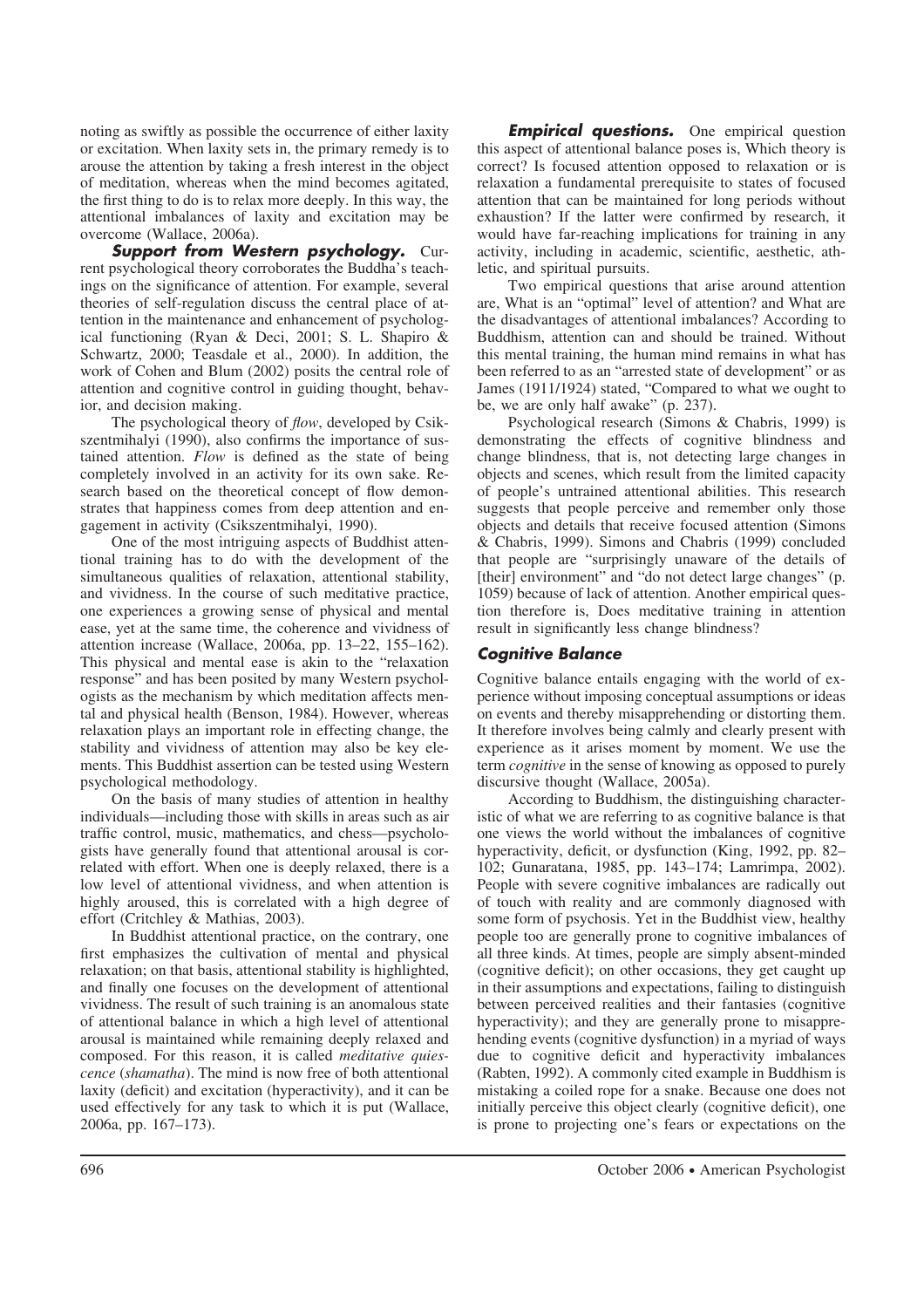noting as swiftly as possible the occurrence of either laxity or excitation. When laxity sets in, the primary remedy is to arouse the attention by taking a fresh interest in the object of meditation, whereas when the mind becomes agitated, the first thing to do is to relax more deeply. In this way, the attentional imbalances of laxity and excitation may be overcome (Wallace, 2006a).

*Support from Western psychology.* Current psychological theory corroborates the Buddha's teachings on the significance of attention. For example, several theories of self-regulation discuss the central place of attention in the maintenance and enhancement of psychological functioning (Ryan & Deci, 2001; S. L. Shapiro & Schwartz, 2000; Teasdale et al., 2000). In addition, the work of Cohen and Blum (2002) posits the central role of attention and cognitive control in guiding thought, behavior, and decision making.

The psychological theory of *flow*, developed by Csikszentmihalyi (1990), also confirms the importance of sustained attention. *Flow* is defined as the state of being completely involved in an activity for its own sake. Research based on the theoretical concept of flow demonstrates that happiness comes from deep attention and engagement in activity (Csikszentmihalyi, 1990).

One of the most intriguing aspects of Buddhist attentional training has to do with the development of the simultaneous qualities of relaxation, attentional stability, and vividness. In the course of such meditative practice, one experiences a growing sense of physical and mental ease, yet at the same time, the coherence and vividness of attention increase (Wallace, 2006a, pp. 13–22, 155–162). This physical and mental ease is akin to the "relaxation response" and has been posited by many Western psychologists as the mechanism by which meditation affects mental and physical health (Benson, 1984). However, whereas relaxation plays an important role in effecting change, the stability and vividness of attention may also be key elements. This Buddhist assertion can be tested using Western psychological methodology.

On the basis of many studies of attention in healthy individuals—including those with skills in areas such as air traffic control, music, mathematics, and chess—psychologists have generally found that attentional arousal is correlated with effort. When one is deeply relaxed, there is a low level of attentional vividness, and when attention is highly aroused, this is correlated with a high degree of effort (Critchley & Mathias, 2003).

In Buddhist attentional practice, on the contrary, one first emphasizes the cultivation of mental and physical relaxation; on that basis, attentional stability is highlighted, and finally one focuses on the development of attentional vividness. The result of such training is an anomalous state of attentional balance in which a high level of attentional arousal is maintained while remaining deeply relaxed and composed. For this reason, it is called *meditative quiescence* (*shamatha*). The mind is now free of both attentional laxity (deficit) and excitation (hyperactivity), and it can be used effectively for any task to which it is put (Wallace, 2006a, pp. 167–173).

*Empirical questions.* One empirical question this aspect of attentional balance poses is, Which theory is correct? Is focused attention opposed to relaxation or is relaxation a fundamental prerequisite to states of focused attention that can be maintained for long periods without exhaustion? If the latter were confirmed by research, it would have far-reaching implications for training in any activity, including in academic, scientific, aesthetic, athletic, and spiritual pursuits.

Two empirical questions that arise around attention are, What is an "optimal" level of attention? and What are the disadvantages of attentional imbalances? According to Buddhism, attention can and should be trained. Without this mental training, the human mind remains in what has been referred to as an "arrested state of development" or as James (1911/1924) stated, "Compared to what we ought to be, we are only half awake" (p. 237).

Psychological research (Simons & Chabris, 1999) is demonstrating the effects of cognitive blindness and change blindness, that is, not detecting large changes in objects and scenes, which result from the limited capacity of people's untrained attentional abilities. This research suggests that people perceive and remember only those objects and details that receive focused attention (Simons & Chabris, 1999). Simons and Chabris (1999) concluded that people are "surprisingly unaware of the details of [their] environment" and "do not detect large changes" (p. 1059) because of lack of attention. Another empirical question therefore is, Does meditative training in attention result in significantly less change blindness?

### *Cognitive Balance*

Cognitive balance entails engaging with the world of experience without imposing conceptual assumptions or ideas on events and thereby misapprehending or distorting them. It therefore involves being calmly and clearly present with experience as it arises moment by moment. We use the term *cognitive* in the sense of knowing as opposed to purely discursive thought (Wallace, 2005a).

According to Buddhism, the distinguishing characteristic of what we are referring to as cognitive balance is that one views the world without the imbalances of cognitive hyperactivity, deficit, or dysfunction (King, 1992, pp. 82– 102; Gunaratana, 1985, pp. 143–174; Lamrimpa, 2002). People with severe cognitive imbalances are radically out of touch with reality and are commonly diagnosed with some form of psychosis. Yet in the Buddhist view, healthy people too are generally prone to cognitive imbalances of all three kinds. At times, people are simply absent-minded (cognitive deficit); on other occasions, they get caught up in their assumptions and expectations, failing to distinguish between perceived realities and their fantasies (cognitive hyperactivity); and they are generally prone to misapprehending events (cognitive dysfunction) in a myriad of ways due to cognitive deficit and hyperactivity imbalances (Rabten, 1992). A commonly cited example in Buddhism is mistaking a coiled rope for a snake. Because one does not initially perceive this object clearly (cognitive deficit), one is prone to projecting one's fears or expectations on the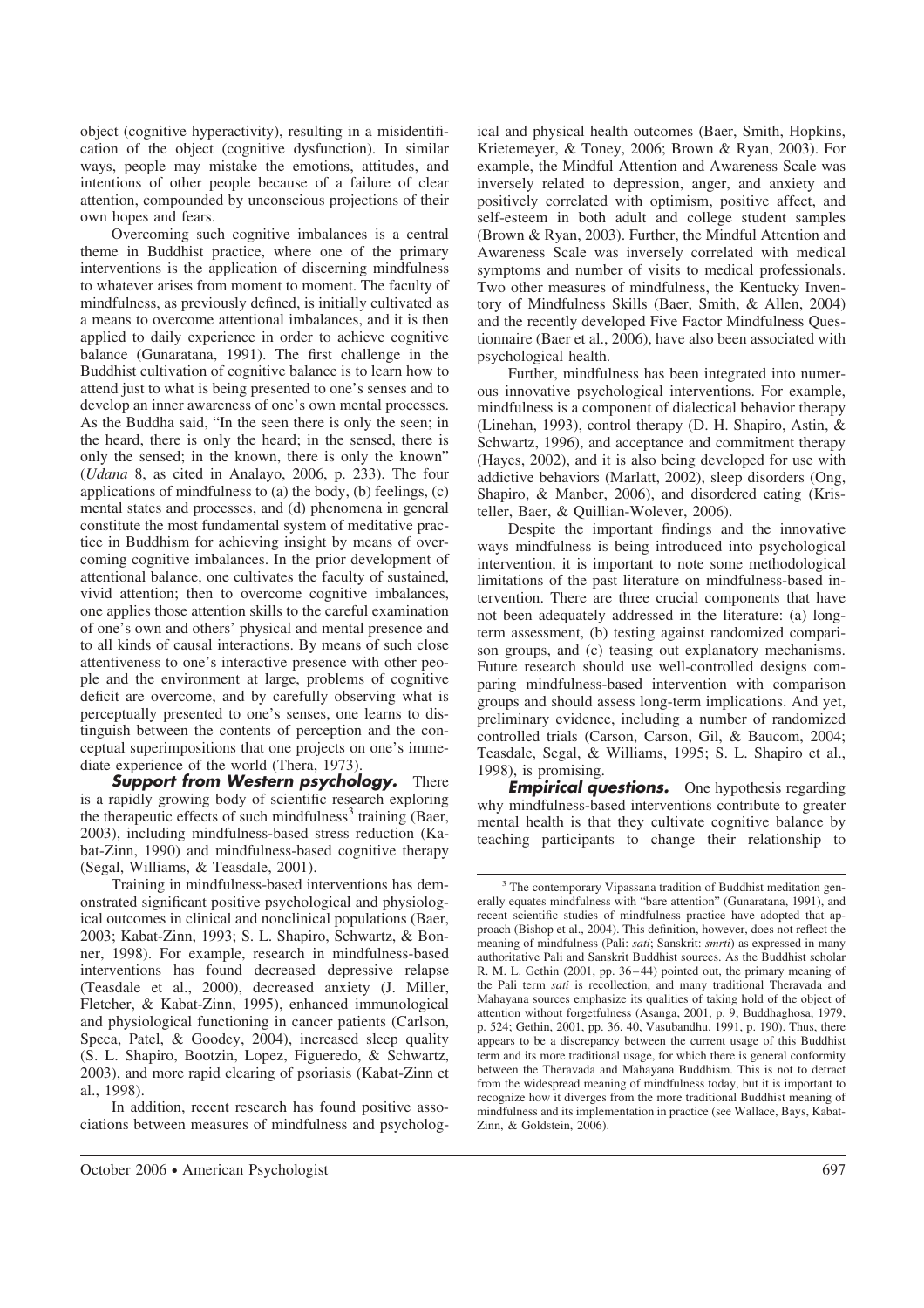object (cognitive hyperactivity), resulting in a misidentification of the object (cognitive dysfunction). In similar ways, people may mistake the emotions, attitudes, and intentions of other people because of a failure of clear attention, compounded by unconscious projections of their own hopes and fears.

Overcoming such cognitive imbalances is a central theme in Buddhist practice, where one of the primary interventions is the application of discerning mindfulness to whatever arises from moment to moment. The faculty of mindfulness, as previously defined, is initially cultivated as a means to overcome attentional imbalances, and it is then applied to daily experience in order to achieve cognitive balance (Gunaratana, 1991). The first challenge in the Buddhist cultivation of cognitive balance is to learn how to attend just to what is being presented to one's senses and to develop an inner awareness of one's own mental processes. As the Buddha said, "In the seen there is only the seen; in the heard, there is only the heard; in the sensed, there is only the sensed; in the known, there is only the known" (*Udana* 8, as cited in Analayo, 2006, p. 233). The four applications of mindfulness to (a) the body, (b) feelings, (c) mental states and processes, and (d) phenomena in general constitute the most fundamental system of meditative practice in Buddhism for achieving insight by means of overcoming cognitive imbalances. In the prior development of attentional balance, one cultivates the faculty of sustained, vivid attention; then to overcome cognitive imbalances, one applies those attention skills to the careful examination of one's own and others' physical and mental presence and to all kinds of causal interactions. By means of such close attentiveness to one's interactive presence with other people and the environment at large, problems of cognitive deficit are overcome, and by carefully observing what is perceptually presented to one's senses, one learns to distinguish between the contents of perception and the conceptual superimpositions that one projects on one's immediate experience of the world (Thera, 1973).

*Support from Western psychology.* There is a rapidly growing body of scientific research exploring the therapeutic effects of such mindfulness<sup>3</sup> training (Baer, 2003), including mindfulness-based stress reduction (Kabat-Zinn, 1990) and mindfulness-based cognitive therapy (Segal, Williams, & Teasdale, 2001).

Training in mindfulness-based interventions has demonstrated significant positive psychological and physiological outcomes in clinical and nonclinical populations (Baer, 2003; Kabat-Zinn, 1993; S. L. Shapiro, Schwartz, & Bonner, 1998). For example, research in mindfulness-based interventions has found decreased depressive relapse (Teasdale et al., 2000), decreased anxiety (J. Miller, Fletcher, & Kabat-Zinn, 1995), enhanced immunological and physiological functioning in cancer patients (Carlson, Speca, Patel, & Goodey, 2004), increased sleep quality (S. L. Shapiro, Bootzin, Lopez, Figueredo, & Schwartz, 2003), and more rapid clearing of psoriasis (Kabat-Zinn et al., 1998).

In addition, recent research has found positive associations between measures of mindfulness and psychological and physical health outcomes (Baer, Smith, Hopkins, Krietemeyer, & Toney, 2006; Brown & Ryan, 2003). For example, the Mindful Attention and Awareness Scale was inversely related to depression, anger, and anxiety and positively correlated with optimism, positive affect, and self-esteem in both adult and college student samples (Brown & Ryan, 2003). Further, the Mindful Attention and Awareness Scale was inversely correlated with medical symptoms and number of visits to medical professionals. Two other measures of mindfulness, the Kentucky Inventory of Mindfulness Skills (Baer, Smith, & Allen, 2004) and the recently developed Five Factor Mindfulness Questionnaire (Baer et al., 2006), have also been associated with psychological health.

Further, mindfulness has been integrated into numerous innovative psychological interventions. For example, mindfulness is a component of dialectical behavior therapy (Linehan, 1993), control therapy (D. H. Shapiro, Astin, & Schwartz, 1996), and acceptance and commitment therapy (Hayes, 2002), and it is also being developed for use with addictive behaviors (Marlatt, 2002), sleep disorders (Ong, Shapiro, & Manber, 2006), and disordered eating (Kristeller, Baer, & Quillian-Wolever, 2006).

Despite the important findings and the innovative ways mindfulness is being introduced into psychological intervention, it is important to note some methodological limitations of the past literature on mindfulness-based intervention. There are three crucial components that have not been adequately addressed in the literature: (a) longterm assessment, (b) testing against randomized comparison groups, and (c) teasing out explanatory mechanisms. Future research should use well-controlled designs comparing mindfulness-based intervention with comparison groups and should assess long-term implications. And yet, preliminary evidence, including a number of randomized controlled trials (Carson, Carson, Gil, & Baucom, 2004; Teasdale, Segal, & Williams, 1995; S. L. Shapiro et al., 1998), is promising.

*Empirical questions.* One hypothesis regarding why mindfulness-based interventions contribute to greater mental health is that they cultivate cognitive balance by teaching participants to change their relationship to

<sup>&</sup>lt;sup>3</sup> The contemporary Vipassana tradition of Buddhist meditation generally equates mindfulness with "bare attention" (Gunaratana, 1991), and recent scientific studies of mindfulness practice have adopted that approach (Bishop et al., 2004). This definition, however, does not reflect the meaning of mindfulness (Pali: *sati*; Sanskrit: *smrti*) as expressed in many authoritative Pali and Sanskrit Buddhist sources. As the Buddhist scholar R. M. L. Gethin (2001, pp. 36–44) pointed out, the primary meaning of the Pali term *sati* is recollection, and many traditional Theravada and Mahayana sources emphasize its qualities of taking hold of the object of attention without forgetfulness (Asanga, 2001, p. 9; Buddhaghosa, 1979, p. 524; Gethin, 2001, pp. 36, 40, Vasubandhu, 1991, p. 190). Thus, there appears to be a discrepancy between the current usage of this Buddhist term and its more traditional usage, for which there is general conformity between the Theravada and Mahayana Buddhism. This is not to detract from the widespread meaning of mindfulness today, but it is important to recognize how it diverges from the more traditional Buddhist meaning of mindfulness and its implementation in practice (see Wallace, Bays, Kabat-Zinn, & Goldstein, 2006).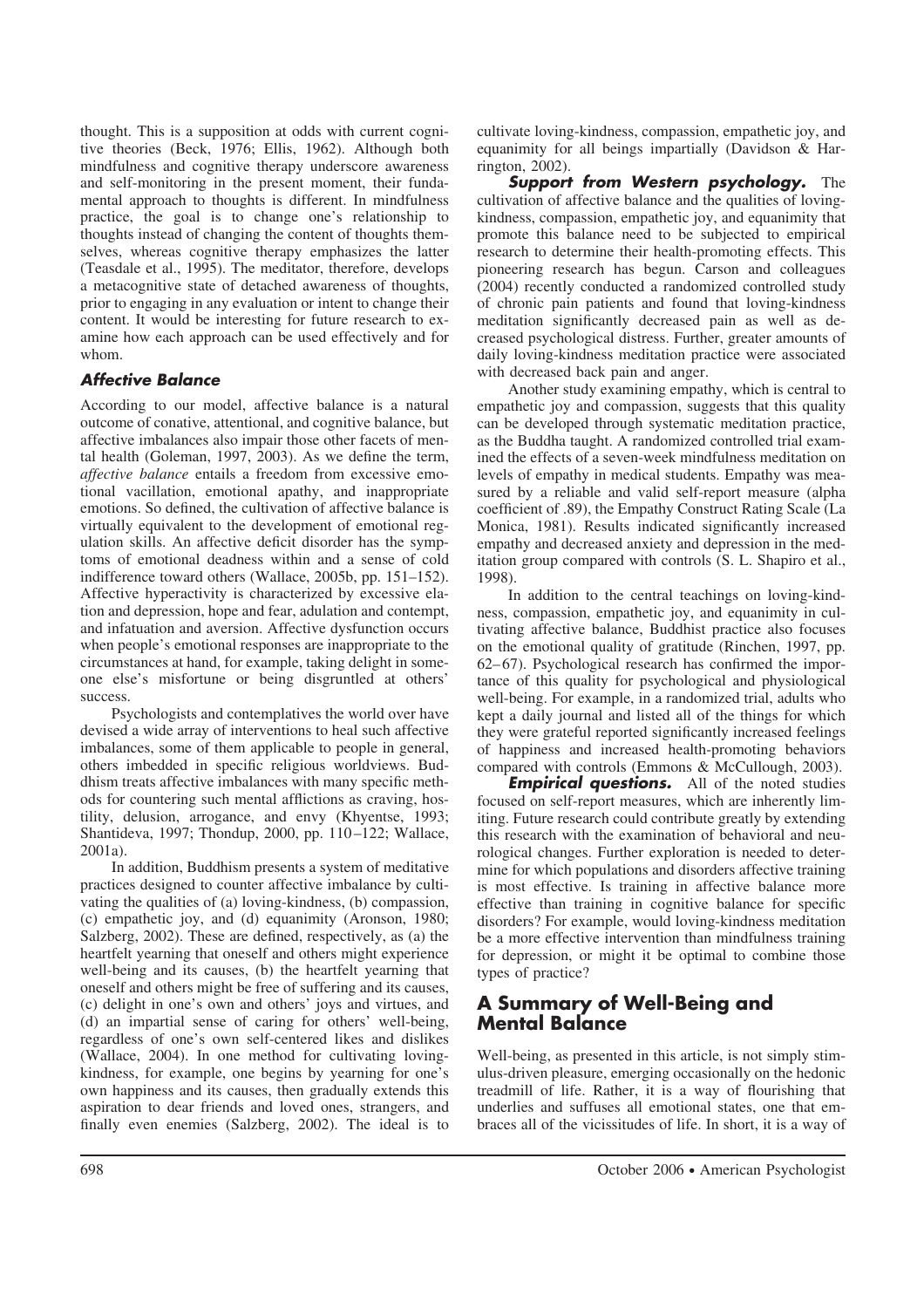thought. This is a supposition at odds with current cognitive theories (Beck, 1976; Ellis, 1962). Although both mindfulness and cognitive therapy underscore awareness and self-monitoring in the present moment, their fundamental approach to thoughts is different. In mindfulness practice, the goal is to change one's relationship to thoughts instead of changing the content of thoughts themselves, whereas cognitive therapy emphasizes the latter (Teasdale et al., 1995). The meditator, therefore, develops a metacognitive state of detached awareness of thoughts, prior to engaging in any evaluation or intent to change their content. It would be interesting for future research to examine how each approach can be used effectively and for whom.

### *Affective Balance*

According to our model, affective balance is a natural outcome of conative, attentional, and cognitive balance, but affective imbalances also impair those other facets of mental health (Goleman, 1997, 2003). As we define the term, *affective balance* entails a freedom from excessive emotional vacillation, emotional apathy, and inappropriate emotions. So defined, the cultivation of affective balance is virtually equivalent to the development of emotional regulation skills. An affective deficit disorder has the symptoms of emotional deadness within and a sense of cold indifference toward others (Wallace, 2005b, pp. 151–152). Affective hyperactivity is characterized by excessive elation and depression, hope and fear, adulation and contempt, and infatuation and aversion. Affective dysfunction occurs when people's emotional responses are inappropriate to the circumstances at hand, for example, taking delight in someone else's misfortune or being disgruntled at others' success.

Psychologists and contemplatives the world over have devised a wide array of interventions to heal such affective imbalances, some of them applicable to people in general, others imbedded in specific religious worldviews. Buddhism treats affective imbalances with many specific methods for countering such mental afflictions as craving, hostility, delusion, arrogance, and envy (Khyentse, 1993; Shantideva, 1997; Thondup, 2000, pp. 110 –122; Wallace, 2001a).

In addition, Buddhism presents a system of meditative practices designed to counter affective imbalance by cultivating the qualities of (a) loving-kindness, (b) compassion, (c) empathetic joy, and (d) equanimity (Aronson, 1980; Salzberg, 2002). These are defined, respectively, as (a) the heartfelt yearning that oneself and others might experience well-being and its causes, (b) the heartfelt yearning that oneself and others might be free of suffering and its causes, (c) delight in one's own and others' joys and virtues, and (d) an impartial sense of caring for others' well-being, regardless of one's own self-centered likes and dislikes (Wallace, 2004). In one method for cultivating lovingkindness, for example, one begins by yearning for one's own happiness and its causes, then gradually extends this aspiration to dear friends and loved ones, strangers, and finally even enemies (Salzberg, 2002). The ideal is to cultivate loving-kindness, compassion, empathetic joy, and equanimity for all beings impartially (Davidson & Harrington, 2002).

*Support from Western psychology.* The cultivation of affective balance and the qualities of lovingkindness, compassion, empathetic joy, and equanimity that promote this balance need to be subjected to empirical research to determine their health-promoting effects. This pioneering research has begun. Carson and colleagues (2004) recently conducted a randomized controlled study of chronic pain patients and found that loving-kindness meditation significantly decreased pain as well as decreased psychological distress. Further, greater amounts of daily loving-kindness meditation practice were associated with decreased back pain and anger.

Another study examining empathy, which is central to empathetic joy and compassion, suggests that this quality can be developed through systematic meditation practice, as the Buddha taught. A randomized controlled trial examined the effects of a seven-week mindfulness meditation on levels of empathy in medical students. Empathy was measured by a reliable and valid self-report measure (alpha coefficient of .89), the Empathy Construct Rating Scale (La Monica, 1981). Results indicated significantly increased empathy and decreased anxiety and depression in the meditation group compared with controls (S. L. Shapiro et al., 1998).

In addition to the central teachings on loving-kindness, compassion, empathetic joy, and equanimity in cultivating affective balance, Buddhist practice also focuses on the emotional quality of gratitude (Rinchen, 1997, pp. 62– 67). Psychological research has confirmed the importance of this quality for psychological and physiological well-being. For example, in a randomized trial, adults who kept a daily journal and listed all of the things for which they were grateful reported significantly increased feelings of happiness and increased health-promoting behaviors compared with controls (Emmons & McCullough, 2003).

**Empirical questions.** All of the noted studies focused on self-report measures, which are inherently limiting. Future research could contribute greatly by extending this research with the examination of behavioral and neurological changes. Further exploration is needed to determine for which populations and disorders affective training is most effective. Is training in affective balance more effective than training in cognitive balance for specific disorders? For example, would loving-kindness meditation be a more effective intervention than mindfulness training for depression, or might it be optimal to combine those types of practice?

# **A Summary of Well-Being and Mental Balance**

Well-being, as presented in this article, is not simply stimulus-driven pleasure, emerging occasionally on the hedonic treadmill of life. Rather, it is a way of flourishing that underlies and suffuses all emotional states, one that embraces all of the vicissitudes of life. In short, it is a way of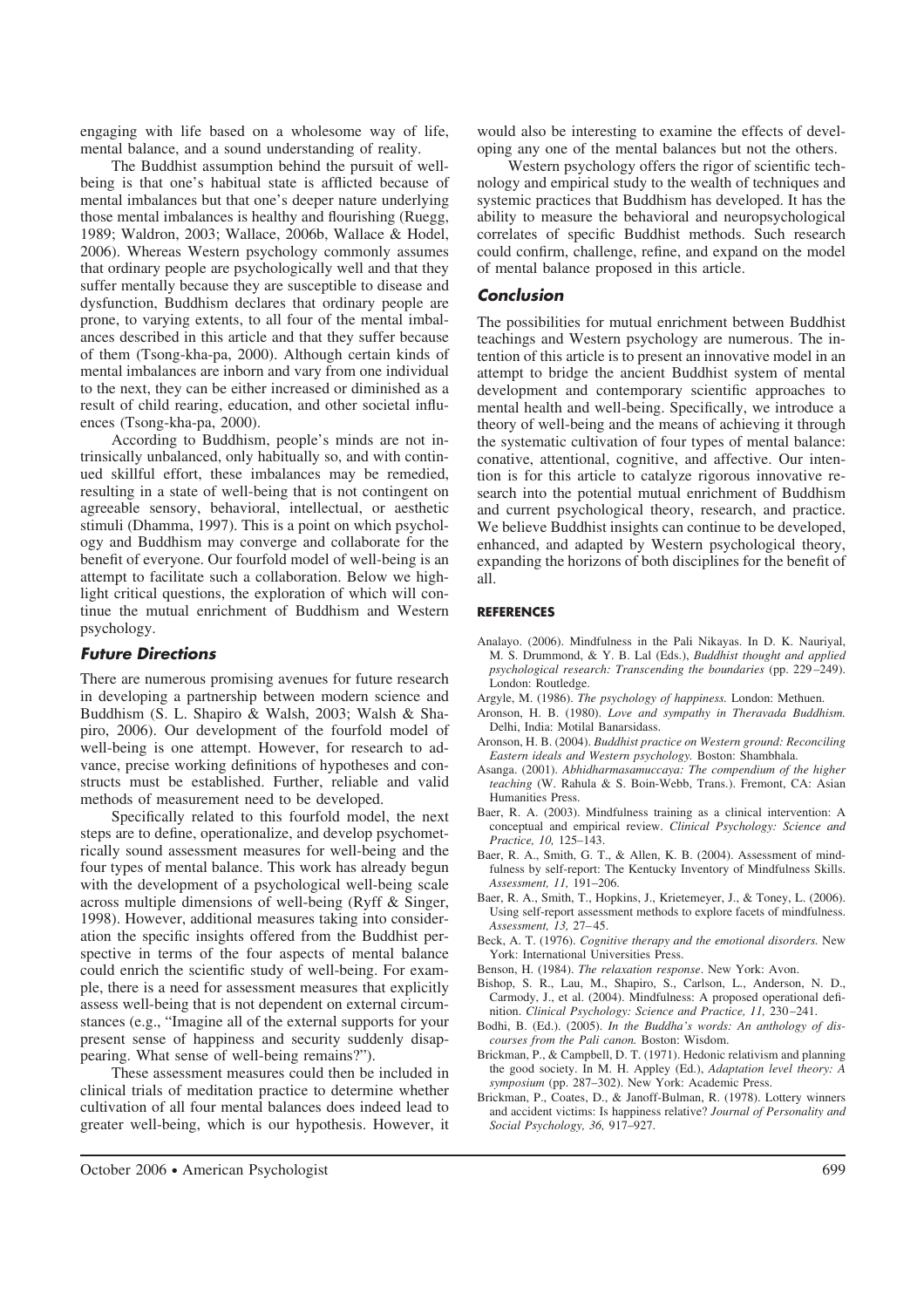engaging with life based on a wholesome way of life, mental balance, and a sound understanding of reality.

The Buddhist assumption behind the pursuit of wellbeing is that one's habitual state is afflicted because of mental imbalances but that one's deeper nature underlying those mental imbalances is healthy and flourishing (Ruegg, 1989; Waldron, 2003; Wallace, 2006b, Wallace & Hodel, 2006). Whereas Western psychology commonly assumes that ordinary people are psychologically well and that they suffer mentally because they are susceptible to disease and dysfunction, Buddhism declares that ordinary people are prone, to varying extents, to all four of the mental imbalances described in this article and that they suffer because of them (Tsong-kha-pa, 2000). Although certain kinds of mental imbalances are inborn and vary from one individual to the next, they can be either increased or diminished as a result of child rearing, education, and other societal influences (Tsong-kha-pa, 2000).

According to Buddhism, people's minds are not intrinsically unbalanced, only habitually so, and with continued skillful effort, these imbalances may be remedied, resulting in a state of well-being that is not contingent on agreeable sensory, behavioral, intellectual, or aesthetic stimuli (Dhamma, 1997). This is a point on which psychology and Buddhism may converge and collaborate for the benefit of everyone. Our fourfold model of well-being is an attempt to facilitate such a collaboration. Below we highlight critical questions, the exploration of which will continue the mutual enrichment of Buddhism and Western psychology.

#### *Future Directions*

There are numerous promising avenues for future research in developing a partnership between modern science and Buddhism (S. L. Shapiro & Walsh, 2003; Walsh & Shapiro, 2006). Our development of the fourfold model of well-being is one attempt. However, for research to advance, precise working definitions of hypotheses and constructs must be established. Further, reliable and valid methods of measurement need to be developed.

Specifically related to this fourfold model, the next steps are to define, operationalize, and develop psychometrically sound assessment measures for well-being and the four types of mental balance. This work has already begun with the development of a psychological well-being scale across multiple dimensions of well-being (Ryff & Singer, 1998). However, additional measures taking into consideration the specific insights offered from the Buddhist perspective in terms of the four aspects of mental balance could enrich the scientific study of well-being. For example, there is a need for assessment measures that explicitly assess well-being that is not dependent on external circumstances (e.g., "Imagine all of the external supports for your present sense of happiness and security suddenly disappearing. What sense of well-being remains?").

These assessment measures could then be included in clinical trials of meditation practice to determine whether cultivation of all four mental balances does indeed lead to greater well-being, which is our hypothesis. However, it

would also be interesting to examine the effects of developing any one of the mental balances but not the others.

Western psychology offers the rigor of scientific technology and empirical study to the wealth of techniques and systemic practices that Buddhism has developed. It has the ability to measure the behavioral and neuropsychological correlates of specific Buddhist methods. Such research could confirm, challenge, refine, and expand on the model of mental balance proposed in this article.

### *Conclusion*

The possibilities for mutual enrichment between Buddhist teachings and Western psychology are numerous. The intention of this article is to present an innovative model in an attempt to bridge the ancient Buddhist system of mental development and contemporary scientific approaches to mental health and well-being. Specifically, we introduce a theory of well-being and the means of achieving it through the systematic cultivation of four types of mental balance: conative, attentional, cognitive, and affective. Our intention is for this article to catalyze rigorous innovative research into the potential mutual enrichment of Buddhism and current psychological theory, research, and practice. We believe Buddhist insights can continue to be developed, enhanced, and adapted by Western psychological theory, expanding the horizons of both disciplines for the benefit of all.

#### **REFERENCES**

- Analayo. (2006). Mindfulness in the Pali Nikayas. In D. K. Nauriyal, M. S. Drummond, & Y. B. Lal (Eds.), *Buddhist thought and applied psychological research: Transcending the boundaries* (pp. 229 –249). London: Routledge.
- Argyle, M. (1986). *The psychology of happiness.* London: Methuen.
- Aronson, H. B. (1980). *Love and sympathy in Theravada Buddhism.* Delhi, India: Motilal Banarsidass.
- Aronson, H. B. (2004). *Buddhist practice on Western ground: Reconciling Eastern ideals and Western psychology.* Boston: Shambhala.
- Asanga. (2001). *Abhidharmasamuccaya: The compendium of the higher teaching* (W. Rahula & S. Boin-Webb, Trans.). Fremont, CA: Asian Humanities Press.
- Baer, R. A. (2003). Mindfulness training as a clinical intervention: A conceptual and empirical review. *Clinical Psychology: Science and Practice, 10,* 125–143.
- Baer, R. A., Smith, G. T., & Allen, K. B. (2004). Assessment of mindfulness by self-report: The Kentucky Inventory of Mindfulness Skills. *Assessment, 11,* 191–206.
- Baer, R. A., Smith, T., Hopkins, J., Krietemeyer, J., & Toney, L. (2006). Using self-report assessment methods to explore facets of mindfulness. *Assessment, 13,* 27– 45.
- Beck, A. T. (1976). *Cognitive therapy and the emotional disorders.* New York: International Universities Press.
- Benson, H. (1984). *The relaxation response*. New York: Avon.
- Bishop, S. R., Lau, M., Shapiro, S., Carlson, L., Anderson, N. D., Carmody, J., et al. (2004). Mindfulness: A proposed operational definition. *Clinical Psychology: Science and Practice, 11,* 230 –241.
- Bodhi, B. (Ed.). (2005). *In the Buddha's words: An anthology of discourses from the Pali canon.* Boston: Wisdom.
- Brickman, P., & Campbell, D. T. (1971). Hedonic relativism and planning the good society. In M. H. Appley (Ed.), *Adaptation level theory: A symposium* (pp. 287–302). New York: Academic Press.
- Brickman, P., Coates, D., & Janoff-Bulman, R. (1978). Lottery winners and accident victims: Is happiness relative? *Journal of Personality and Social Psychology, 36,* 917–927.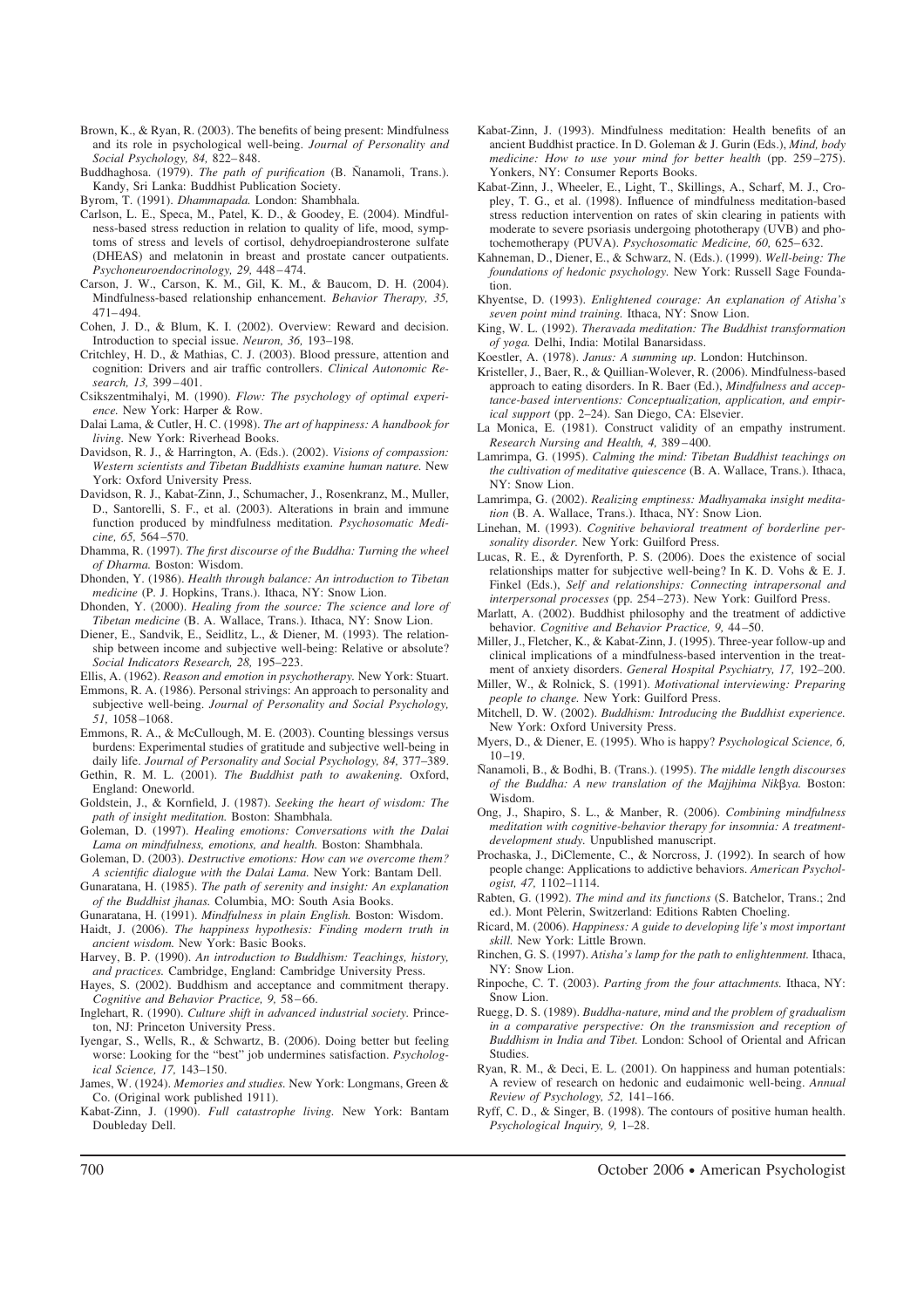- Brown, K., & Ryan, R. (2003). The benefits of being present: Mindfulness and its role in psychological well-being. *Journal of Personality and Social Psychology, 84,* 822– 848.
- Buddhaghosa. (1979). *The path of purification* (B. Nanamoli, Trans.). Kandy, Sri Lanka: Buddhist Publication Society.

Byrom, T. (1991). *Dhammapada.* London: Shambhala.

- Carlson, L. E., Speca, M., Patel, K. D., & Goodey, E. (2004). Mindfulness-based stress reduction in relation to quality of life, mood, symptoms of stress and levels of cortisol, dehydroepiandrosterone sulfate (DHEAS) and melatonin in breast and prostate cancer outpatients. *Psychoneuroendocrinology, 29,* 448 – 474.
- Carson, J. W., Carson, K. M., Gil, K. M., & Baucom, D. H. (2004). Mindfulness-based relationship enhancement. *Behavior Therapy, 35,* 471– 494.
- Cohen, J. D., & Blum, K. I. (2002). Overview: Reward and decision. Introduction to special issue. *Neuron, 36,* 193–198.
- Critchley, H. D., & Mathias, C. J. (2003). Blood pressure, attention and cognition: Drivers and air traffic controllers. *Clinical Autonomic Research, 13,* 399 – 401.
- Csikszentmihalyi, M. (1990). *Flow: The psychology of optimal experience.* New York: Harper & Row.
- Dalai Lama, & Cutler, H. C. (1998). *The art of happiness: A handbook for living.* New York: Riverhead Books.
- Davidson, R. J., & Harrington, A. (Eds.). (2002). *Visions of compassion: Western scientists and Tibetan Buddhists examine human nature.* New York: Oxford University Press.
- Davidson, R. J., Kabat-Zinn, J., Schumacher, J., Rosenkranz, M., Muller, D., Santorelli, S. F., et al. (2003). Alterations in brain and immune function produced by mindfulness meditation. *Psychosomatic Medicine, 65,* 564 –570.
- Dhamma, R. (1997). *The first discourse of the Buddha: Turning the wheel of Dharma.* Boston: Wisdom.
- Dhonden, Y. (1986). *Health through balance: An introduction to Tibetan medicine* (P. J. Hopkins, Trans.). Ithaca, NY: Snow Lion.
- Dhonden, Y. (2000). *Healing from the source: The science and lore of Tibetan medicine* (B. A. Wallace, Trans.). Ithaca, NY: Snow Lion.
- Diener, E., Sandvik, E., Seidlitz, L., & Diener, M. (1993). The relationship between income and subjective well-being: Relative or absolute? *Social Indicators Research, 28,* 195–223.
- Ellis, A. (1962). *Reason and emotion in psychotherapy.* New York: Stuart.
- Emmons, R. A. (1986). Personal strivings: An approach to personality and subjective well-being. *Journal of Personality and Social Psychology, 51,* 1058 –1068.
- Emmons, R. A., & McCullough, M. E. (2003). Counting blessings versus burdens: Experimental studies of gratitude and subjective well-being in daily life. *Journal of Personality and Social Psychology, 84,* 377–389.
- Gethin, R. M. L. (2001). *The Buddhist path to awakening.* Oxford, England: Oneworld.
- Goldstein, J., & Kornfield, J. (1987). *Seeking the heart of wisdom: The path of insight meditation.* Boston: Shambhala.
- Goleman, D. (1997). *Healing emotions: Conversations with the Dalai Lama on mindfulness, emotions, and health.* Boston: Shambhala.
- Goleman, D. (2003). *Destructive emotions: How can we overcome them? A scientific dialogue with the Dalai Lama.* New York: Bantam Dell.
- Gunaratana, H. (1985). *The path of serenity and insight: An explanation of the Buddhist jhanas.* Columbia, MO: South Asia Books.
- Gunaratana, H. (1991). *Mindfulness in plain English.* Boston: Wisdom.
- Haidt, J. (2006). *The happiness hypothesis: Finding modern truth in ancient wisdom.* New York: Basic Books.
- Harvey, B. P. (1990). *An introduction to Buddhism: Teachings, history, and practices.* Cambridge, England: Cambridge University Press.
- Hayes, S. (2002). Buddhism and acceptance and commitment therapy. *Cognitive and Behavior Practice, 9,* 58 – 66.
- Inglehart, R. (1990). *Culture shift in advanced industrial society.* Princeton, NJ: Princeton University Press.
- Iyengar, S., Wells, R., & Schwartz, B. (2006). Doing better but feeling worse: Looking for the "best" job undermines satisfaction. *Psychological Science, 17,* 143–150.
- James, W. (1924). *Memories and studies.* New York: Longmans, Green & Co. (Original work published 1911).
- Kabat-Zinn, J. (1990). *Full catastrophe living.* New York: Bantam Doubleday Dell.
- Kabat-Zinn, J. (1993). Mindfulness meditation: Health benefits of an ancient Buddhist practice. In D. Goleman & J. Gurin (Eds.), *Mind, body medicine: How to use your mind for better health* (pp. 259 –275). Yonkers, NY: Consumer Reports Books.
- Kabat-Zinn, J., Wheeler, E., Light, T., Skillings, A., Scharf, M. J., Cropley, T. G., et al. (1998). Influence of mindfulness meditation-based stress reduction intervention on rates of skin clearing in patients with moderate to severe psoriasis undergoing phototherapy (UVB) and photochemotherapy (PUVA). *Psychosomatic Medicine*, 60, 625-632.
- Kahneman, D., Diener, E., & Schwarz, N. (Eds.). (1999). *Well-being: The foundations of hedonic psychology.* New York: Russell Sage Foundation.
- Khyentse, D. (1993). *Enlightened courage: An explanation of Atisha's seven point mind training.* Ithaca, NY: Snow Lion.
- King, W. L. (1992). *Theravada meditation: The Buddhist transformation of yoga.* Delhi, India: Motilal Banarsidass.
- Koestler, A. (1978). *Janus: A summing up.* London: Hutchinson.
- Kristeller, J., Baer, R., & Quillian-Wolever, R. (2006). Mindfulness-based approach to eating disorders. In R. Baer (Ed.), *Mindfulness and acceptance-based interventions: Conceptualization, application, and empirical support* (pp. 2–24). San Diego, CA: Elsevier.
- La Monica, E. (1981). Construct validity of an empathy instrument. *Research Nursing and Health, 4,* 389 – 400.
- Lamrimpa, G. (1995). *Calming the mind: Tibetan Buddhist teachings on the cultivation of meditative quiescence* (B. A. Wallace, Trans.). Ithaca, NY: Snow Lion.
- Lamrimpa, G. (2002). *Realizing emptiness: Madhyamaka insight meditation* (B. A. Wallace, Trans.). Ithaca, NY: Snow Lion.
- Linehan, M. (1993). *Cognitive behavioral treatment of borderline personality disorder.* New York: Guilford Press.
- Lucas, R. E., & Dyrenforth, P. S. (2006). Does the existence of social relationships matter for subjective well-being? In K. D. Vohs & E. J. Finkel (Eds.), *Self and relationships: Connecting intrapersonal and interpersonal processes* (pp. 254 –273). New York: Guilford Press.
- Marlatt, A. (2002). Buddhist philosophy and the treatment of addictive behavior. *Cognitive and Behavior Practice, 9,* 44 –50.
- Miller, J., Fletcher, K., & Kabat-Zinn, J. (1995). Three-year follow-up and clinical implications of a mindfulness-based intervention in the treatment of anxiety disorders. *General Hospital Psychiatry, 17,* 192–200.
- Miller, W., & Rolnick, S. (1991). *Motivational interviewing: Preparing people to change.* New York: Guilford Press.
- Mitchell, D. W. (2002). *Buddhism: Introducing the Buddhist experience.* New York: Oxford University Press.
- Myers, D., & Diener, E. (1995). Who is happy? *Psychological Science, 6,*  $10 - 19.$
- N˜ anamoli, B., & Bodhi, B. (Trans.). (1995). *The middle length discourses of the Buddha: A new translation of the Majjhima Nik*!*ya.* Boston: Wisdom.
- Ong, J., Shapiro, S. L., & Manber, R. (2006). *Combining mindfulness meditation with cognitive-behavior therapy for insomnia: A treatmentdevelopment study.* Unpublished manuscript.
- Prochaska, J., DiClemente, C., & Norcross, J. (1992). In search of how people change: Applications to addictive behaviors. *American Psychologist, 47,* 1102–1114.
- Rabten, G. (1992). *The mind and its functions* (S. Batchelor, Trans.; 2nd ed.). Mont Pèlerin, Switzerland: Editions Rabten Choeling.
- Ricard, M. (2006). *Happiness: A guide to developing life's most important skill.* New York: Little Brown.
- Rinchen, G. S. (1997). *Atisha's lamp for the path to enlightenment.* Ithaca, NY: Snow Lion.
- Rinpoche, C. T. (2003). *Parting from the four attachments.* Ithaca, NY: Snow Lion.
- Ruegg, D. S. (1989). *Buddha-nature, mind and the problem of gradualism in a comparative perspective: On the transmission and reception of Buddhism in India and Tibet.* London: School of Oriental and African **Studies**
- Ryan, R. M., & Deci, E. L. (2001). On happiness and human potentials: A review of research on hedonic and eudaimonic well-being. *Annual Review of Psychology, 52,* 141–166.
- Ryff, C. D., & Singer, B. (1998). The contours of positive human health. *Psychological Inquiry, 9,* 1–28.